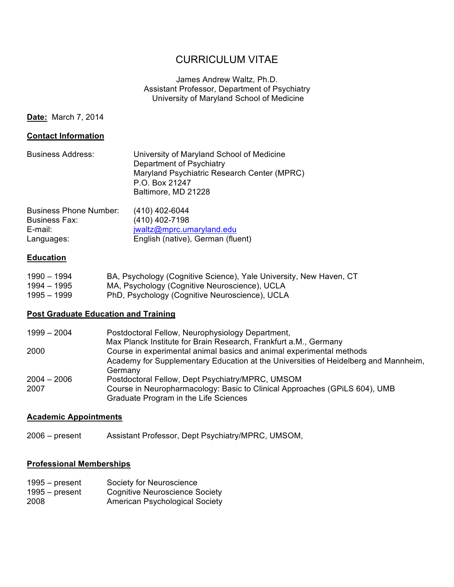# CURRICULUM VITAE

# James Andrew Waltz, Ph.D. Assistant Professor, Department of Psychiatry University of Maryland School of Medicine

**Date:** March 7, 2014

#### **Contact Information**

| <b>Business Address:</b> | University of Maryland School of Medicine   |
|--------------------------|---------------------------------------------|
|                          | Department of Psychiatry                    |
|                          | Maryland Psychiatric Research Center (MPRC) |
|                          | P.O. Box 21247                              |
|                          | Baltimore, MD 21228                         |
|                          |                                             |

| <b>Business Phone Number:</b> | (410) 402-6044                    |
|-------------------------------|-----------------------------------|
| Business Fax:                 | (410) 402-7198                    |
| E-mail:                       | jwaltz@mprc.umaryland.edu         |
| Languages:                    | English (native), German (fluent) |

#### **Education**

| 1990 – 1994 | BA, Psychology (Cognitive Science), Yale University, New Haven, CT |
|-------------|--------------------------------------------------------------------|
| 1994 – 1995 | MA, Psychology (Cognitive Neuroscience), UCLA                      |
| 1995 – 1999 | PhD, Psychology (Cognitive Neuroscience), UCLA                     |

### **Post Graduate Education and Training**

| $1999 - 2004$ | Postdoctoral Fellow, Neurophysiology Department,                                    |
|---------------|-------------------------------------------------------------------------------------|
|               | Max Planck Institute for Brain Research, Frankfurt a.M., Germany                    |
| 2000          | Course in experimental animal basics and animal experimental methods                |
|               | Academy for Supplementary Education at the Universities of Heidelberg and Mannheim, |
|               | Germany                                                                             |
| $2004 - 2006$ | Postdoctoral Fellow, Dept Psychiatry/MPRC, UMSOM                                    |
| 2007          | Course in Neuropharmacology: Basic to Clinical Approaches (GPILS 604), UMB          |
|               | Graduate Program in the Life Sciences                                               |

#### **Academic Appointments**

2006 – present Assistant Professor, Dept Psychiatry/MPRC, UMSOM,

# **Professional Memberships**

| $1995 - present$ | Society for Neuroscience              |
|------------------|---------------------------------------|
| $1995 - present$ | <b>Cognitive Neuroscience Society</b> |
| 2008             | American Psychological Society        |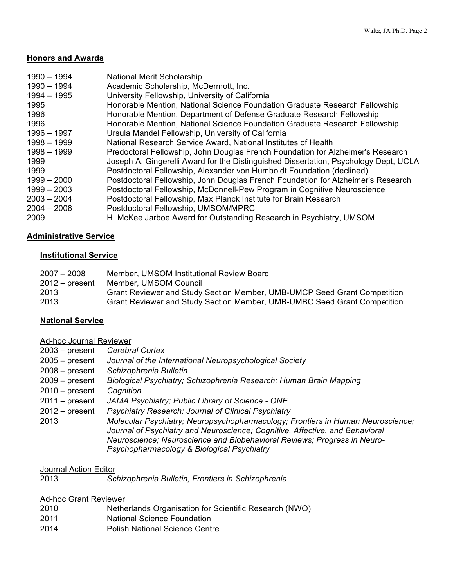#### **Honors and Awards**

| 1990 - 1994<br>1990 - 1994 | <b>National Merit Scholarship</b><br>Academic Scholarship, McDermott, Inc.           |
|----------------------------|--------------------------------------------------------------------------------------|
| $1994 - 1995$              | University Fellowship, University of California                                      |
| 1995                       | Honorable Mention, National Science Foundation Graduate Research Fellowship          |
| 1996                       | Honorable Mention, Department of Defense Graduate Research Fellowship                |
| 1996                       | Honorable Mention, National Science Foundation Graduate Research Fellowship          |
| 1996 - 1997                | Ursula Mandel Fellowship, University of California                                   |
| 1998 - 1999                | National Research Service Award, National Institutes of Health                       |
| 1998 - 1999                | Predoctoral Fellowship, John Douglas French Foundation for Alzheimer's Research      |
| 1999                       | Joseph A. Gingerelli Award for the Distinguished Dissertation, Psychology Dept, UCLA |
| 1999                       | Postdoctoral Fellowship, Alexander von Humboldt Foundation (declined)                |
| $1999 - 2000$              | Postdoctoral Fellowship, John Douglas French Foundation for Alzheimer's Research     |
| $1999 - 2003$              | Postdoctoral Fellowship, McDonnell-Pew Program in Cognitive Neuroscience             |
| 2003 - 2004                | Postdoctoral Fellowship, Max Planck Institute for Brain Research                     |
| $2004 - 2006$              | Postdoctoral Fellowship, UMSOM/MPRC                                                  |
| 2009                       | H. McKee Jarboe Award for Outstanding Research in Psychiatry, UMSOM                  |

#### **Administrative Service**

#### **Institutional Service**

| $2007 - 2008$    | Member, UMSOM Institutional Review Board                                 |
|------------------|--------------------------------------------------------------------------|
| $2012 - present$ | Member, UMSOM Council                                                    |
| 2013             | Grant Reviewer and Study Section Member, UMB-UMCP Seed Grant Competition |
| 2013             | Grant Reviewer and Study Section Member, UMB-UMBC Seed Grant Competition |

#### **National Service**

Ad-hoc Journal Reviewer

- 2005 present *Journal of the International Neuropsychological Society*
- 2008 present *Schizophrenia Bulletin*
- 2009 present *Biological Psychiatry; Schizophrenia Research; Human Brain Mapping*
- 2010 present *Cognition*
- 2011 present *JAMA Psychiatry; Public Library of Science ONE*
- 2012 present *Psychiatry Research; Journal of Clinical Psychiatry*
- 2013 *Molecular Psychiatry; Neuropsychopharmacology; Frontiers in Human Neuroscience; Journal of Psychiatry and Neuroscience; Cognitive, Affective, and Behavioral Neuroscience; Neuroscience and Biobehavioral Reviews; Progress in Neuro-Psychopharmacology & Biological Psychiatry*

#### Journal Action Editor

2013 *Schizophrenia Bulletin, Frontiers in Schizophrenia*

#### Ad-hoc Grant Reviewer

- 2010 Netherlands Organisation for Scientific Research (NWO)
- 2011 National Science Foundation
- 2014 Polish National Science Centre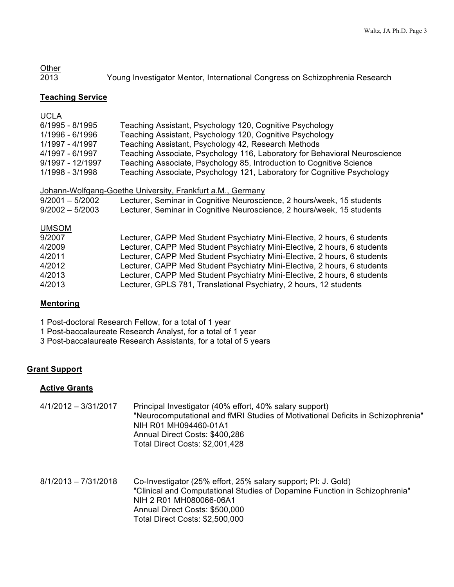# **Other** 2013 Young Investigator Mentor, International Congress on Schizophrenia Research

### **Teaching Service**

| <b>UCLA</b>       |                                                                            |
|-------------------|----------------------------------------------------------------------------|
| 6/1995 - 8/1995   | Teaching Assistant, Psychology 120, Cognitive Psychology                   |
| 1/1996 - 6/1996   | Teaching Assistant, Psychology 120, Cognitive Psychology                   |
| 1/1997 - 4/1997   | Teaching Assistant, Psychology 42, Research Methods                        |
| 4/1997 - 6/1997   | Teaching Associate, Psychology 116, Laboratory for Behavioral Neuroscience |
| 9/1997 - 12/1997  | Teaching Associate, Psychology 85, Introduction to Cognitive Science       |
| 1/1998 - 3/1998   | Teaching Associate, Psychology 121, Laboratory for Cognitive Psychology    |
|                   |                                                                            |
|                   | Johann-Wolfgang-Goethe University, Frankfurt a.M., Germany                 |
| $9/2001 - 5/2002$ | Lecturer, Seminar in Cognitive Neuroscience, 2 hours/week, 15 students     |
| $9/2002 - 5/2003$ | Lecturer, Seminar in Cognitive Neuroscience, 2 hours/week, 15 students     |
| <b>UMSOM</b>      |                                                                            |
| 9/2007            | Lecturer, CAPP Med Student Psychiatry Mini-Elective, 2 hours, 6 students   |
| 4/2009            | Lecturer, CAPP Med Student Psychiatry Mini-Elective, 2 hours, 6 students   |
| 4/2011            | Lecturer, CAPP Med Student Psychiatry Mini-Elective, 2 hours, 6 students   |
| 4/2012            | Lecturer, CAPP Med Student Psychiatry Mini-Elective, 2 hours, 6 students   |
| 4/2013            | Lecturer, CAPP Med Student Psychiatry Mini-Elective, 2 hours, 6 students   |
| 4/2013            | Lecturer, GPLS 781, Translational Psychiatry, 2 hours, 12 students         |
|                   |                                                                            |

# **Mentoring**

1 Post-doctoral Research Fellow, for a total of 1 year

1 Post-baccalaureate Research Analyst, for a total of 1 year

3 Post-baccalaureate Research Assistants, for a total of 5 years

# **Grant Support**

#### **Active Grants**

- 4/1/2012 3/31/2017 Principal Investigator (40% effort, 40% salary support) "Neurocomputational and fMRI Studies of Motivational Deficits in Schizophrenia" NIH R01 MH094460-01A1 Annual Direct Costs: \$400,286 Total Direct Costs: \$2,001,428
- 8/1/2013 7/31/2018 Co-Investigator (25% effort, 25% salary support; PI: J. Gold) "Clinical and Computational Studies of Dopamine Function in Schizophrenia" NIH 2 R01 MH080066-06A1 Annual Direct Costs: \$500,000 Total Direct Costs: \$2,500,000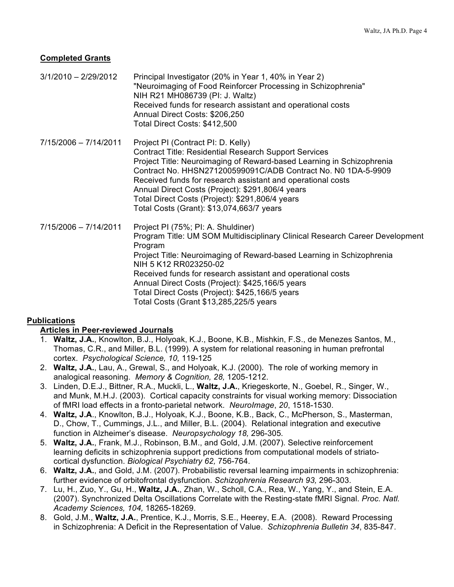# **Completed Grants**

- 3/1/2010 2/29/2012 Principal Investigator (20% in Year 1, 40% in Year 2) "Neuroimaging of Food Reinforcer Processing in Schizophrenia" NIH R21 MH086739 (PI: J. Waltz) Received funds for research assistant and operational costs Annual Direct Costs: \$206,250 Total Direct Costs: \$412,500
- 7/15/2006 7/14/2011 Project PI (Contract PI: D. Kelly) Contract Title: Residential Research Support Services Project Title: Neuroimaging of Reward-based Learning in Schizophrenia Contract No. HHSN271200599091C/ADB Contract No. N0 1DA-5-9909 Received funds for research assistant and operational costs Annual Direct Costs (Project): \$291,806/4 years Total Direct Costs (Project): \$291,806/4 years Total Costs (Grant): \$13,074,663/7 years
- 7/15/2006 7/14/2011 Project PI (75%; PI: A. Shuldiner) Program Title: UM SOM Multidisciplinary Clinical Research Career Development Program Project Title: Neuroimaging of Reward-based Learning in Schizophrenia NIH 5 K12 RR023250-02 Received funds for research assistant and operational costs Annual Direct Costs (Project): \$425,166/5 years Total Direct Costs (Project): \$425,166/5 years Total Costs (Grant \$13,285,225/5 years

# **Publications**

# **Articles in Peer-reviewed Journals**

- 1. **Waltz, J.A.**, Knowlton, B.J., Holyoak, K.J., Boone, K.B., Mishkin, F.S., de Menezes Santos, M., Thomas, C.R., and Miller, B.L. (1999). A system for relational reasoning in human prefrontal cortex. *Psychological Science, 10,* 119-125
- 2. **Waltz, J.A.**, Lau, A., Grewal, S., and Holyoak, K.J. (2000). The role of working memory in analogical reasoning. *Memory & Cognition, 28,* 1205-1212.
- 3. Linden, D.E.J., Bittner, R.A., Muckli, L., **Waltz, J.A.**, Kriegeskorte, N., Goebel, R., Singer, W., and Munk, M.H.J. (2003). Cortical capacity constraints for visual working memory: Dissociation of fMRI load effects in a fronto-parietal network. *NeuroImage*, *20*, 1518-1530.
- 4. **Waltz, J.A**., Knowlton, B.J., Holyoak, K.J., Boone, K.B., Back, C., McPherson, S., Masterman, D., Chow, T., Cummings, J.L., and Miller, B.L. (2004). Relational integration and executive function in Alzheimer's disease. *Neuropsychology 18,* 296-305*.*
- 5. **Waltz, J.A.**, Frank, M.J., Robinson, B.M., and Gold, J.M. (2007). Selective reinforcement learning deficits in schizophrenia support predictions from computational models of striatocortical dysfunction. *Biological Psychiatry 62,* 756-764.
- 6. **Waltz, J.A.**, and Gold, J.M. (2007). Probabilistic reversal learning impairments in schizophrenia: further evidence of orbitofrontal dysfunction. *Schizophrenia Research 93,* 296-303.
- 7. Lu, H., Zuo, Y., Gu, H., **Waltz, J.A.**, Zhan, W., Scholl, C.A., Rea, W., Yang, Y., and Stein, E.A. (2007). Synchronized Delta Oscillations Correlate with the Resting-state fMRI Signal. *Proc. Natl. Academy Sciences, 104,* 18265-18269.
- 8. Gold, J.M., **Waltz, J.A.**, Prentice, K.J., Morris, S.E., Heerey, E.A. (2008). Reward Processing in Schizophrenia: A Deficit in the Representation of Value. *Schizophrenia Bulletin 34*, 835-847.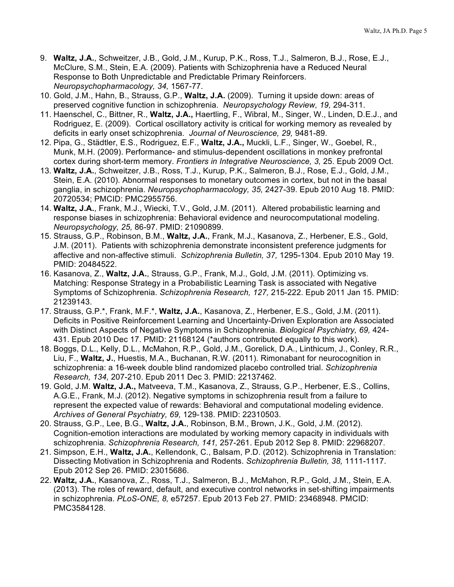- 9. **Waltz, J.A.**, Schweitzer, J.B., Gold, J.M., Kurup, P.K., Ross, T.J., Salmeron, B.J., Rose, E.J., McClure, S.M., Stein, E.A. (2009). Patients with Schizophrenia have a Reduced Neural Response to Both Unpredictable and Predictable Primary Reinforcers. *Neuropsychopharmacology, 34,* 1567-77.
- 10. Gold, J.M., Hahn, B., Strauss, G.P., **Waltz, J.A.** (2009). Turning it upside down: areas of preserved cognitive function in schizophrenia. *Neuropsychology Review, 19,* 294-311.
- 11. Haenschel, C., Bittner, R., **Waltz, J.A.,** Haertling, F., Wibral, M., Singer, W., Linden, D.E.J., and Rodriguez, E. (2009). Cortical oscillatory activity is critical for working memory as revealed by deficits in early onset schizophrenia. *Journal of Neuroscience, 29,* 9481-89.
- 12. Pipa, G., Städtler, E.S., Rodriguez, E.F., **Waltz, J.A.,** Muckli, L.F., Singer, W., Goebel, R., Munk, M.H. (2009). Performance- and stimulus-dependent oscillations in monkey prefrontal cortex during short-term memory. *Frontiers in Integrative Neuroscience, 3,* 25. Epub 2009 Oct.
- 13. **Waltz, J.A.**, Schweitzer, J.B., Ross, T.J., Kurup, P.K., Salmeron, B.J., Rose, E.J., Gold, J.M., Stein, E.A. (2010). Abnormal responses to monetary outcomes in cortex, but not in the basal ganglia, in schizophrenia. *Neuropsychopharmacology, 35,* 2427-39. Epub 2010 Aug 18. PMID: 20720534; PMCID: PMC2955756.
- 14. **Waltz, J.A.**, Frank, M.J., Wiecki, T.V., Gold, J.M. (2011). Altered probabilistic learning and response biases in schizophrenia: Behavioral evidence and neurocomputational modeling. *Neuropsychology, 25,* 86-97. PMID: 21090899.
- 15. Strauss, G.P., Robinson, B.M., **Waltz, J.A.**, Frank, M.J., Kasanova, Z., Herbener, E.S., Gold, J.M. (2011). Patients with schizophrenia demonstrate inconsistent preference judgments for affective and non-affective stimuli. *Schizophrenia Bulletin, 37,* 1295-1304. Epub 2010 May 19. PMID: 20484522.
- 16. Kasanova, Z., **Waltz, J.A.**, Strauss, G.P., Frank, M.J., Gold, J.M. (2011). Optimizing vs. Matching: Response Strategy in a Probabilistic Learning Task is associated with Negative Symptoms of Schizophrenia. *Schizophrenia Research, 127,* 215-222. Epub 2011 Jan 15. PMID: 21239143.
- 17. Strauss, G.P.\*, Frank, M.F.\*, **Waltz, J.A.**, Kasanova, Z., Herbener, E.S., Gold, J.M. (2011). Deficits in Positive Reinforcement Learning and Uncertainty-Driven Exploration are Associated with Distinct Aspects of Negative Symptoms in Schizophrenia. *Biological Psychiatry, 69,* 424- 431. Epub 2010 Dec 17. PMID: 21168124 (\*authors contributed equally to this work).
- 18. Boggs, D.L., Kelly, D.L., McMahon, R.P., Gold, J.M., Gorelick, D.A., Linthicum, J., Conley, R.R., Liu, F., **Waltz, J.**, Huestis, M.A., Buchanan, R.W. (2011). Rimonabant for neurocognition in schizophrenia: a 16-week double blind randomized placebo controlled trial. *Schizophrenia Research, 134,* 207-210. Epub 2011 Dec 3. PMID: 22137462.
- 19. Gold, J.M. **Waltz, J.A.,** Matveeva, T.M., Kasanova, Z., Strauss, G.P., Herbener, E.S., Collins, A.G.E., Frank, M.J. (2012). Negative symptoms in schizophrenia result from a failure to represent the expected value of rewards: Behavioral and computational modeling evidence. *Archives of General Psychiatry, 69,* 129-138. PMID: 22310503.
- 20. Strauss, G.P., Lee, B.G., **Waltz, J.A.**, Robinson, B.M., Brown, J.K., Gold, J.M. (2012). Cognition-emotion interactions are modulated by working memory capacity in individuals with schizophrenia. *Schizophrenia Research, 141,* 257-261. Epub 2012 Sep 8. PMID: 22968207.
- 21. Simpson, E.H., **Waltz, J.A.**, Kellendonk, C., Balsam, P.D. (2012). Schizophrenia in Translation: Dissecting Motivation in Schizophrenia and Rodents. *Schizophrenia Bulletin, 38,* 1111-1117. Epub 2012 Sep 26. PMID: 23015686.
- 22. **Waltz, J.A.**, Kasanova, Z., Ross, T.J., Salmeron, B.J., McMahon, R.P., Gold, J.M., Stein, E.A. (2013). The roles of reward, default, and executive control networks in set-shifting impairments in schizophrenia. *PLoS-ONE, 8,* e57257. Epub 2013 Feb 27. PMID: 23468948. PMCID: PMC3584128.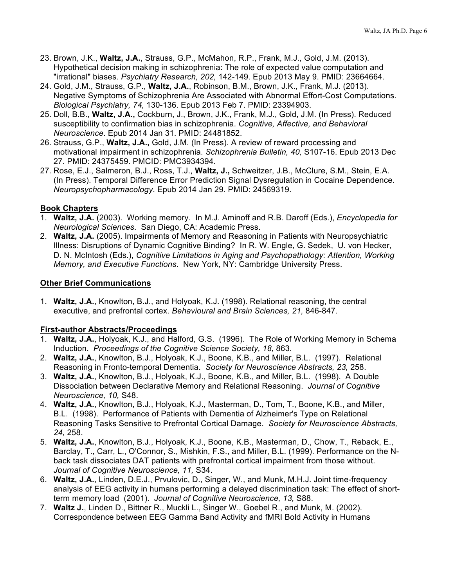- 23. Brown, J.K., **Waltz, J.A.**, Strauss, G.P., McMahon, R.P., Frank, M.J., Gold, J.M. (2013). Hypothetical decision making in schizophrenia: The role of expected value computation and "irrational" biases. *Psychiatry Research, 202,* 142-149. Epub 2013 May 9. PMID: 23664664.
- 24. Gold, J.M., Strauss, G.P., **Waltz, J.A.**, Robinson, B.M., Brown, J.K., Frank, M.J. (2013). Negative Symptoms of Schizophrenia Are Associated with Abnormal Effort-Cost Computations. *Biological Psychiatry, 74,* 130-136. Epub 2013 Feb 7. PMID: 23394903.
- 25. Doll, B.B., **Waltz, J.A.,** Cockburn, J., Brown, J.K., Frank, M.J., Gold, J.M. (In Press). Reduced susceptibility to confirmation bias in schizophrenia. *Cognitive, Affective, and Behavioral Neuroscience*. Epub 2014 Jan 31. PMID: 24481852.
- 26. Strauss, G.P., **Waltz, J.A.,** Gold, J.M. (In Press). A review of reward processing and motivational impairment in schizophrenia. *Schizophrenia Bulletin, 40,* S107-16. Epub 2013 Dec 27. PMID: 24375459. PMCID: PMC3934394.
- 27. Rose, E.J., Salmeron, B.J., Ross, T.J., **Waltz, J.,** Schweitzer, J.B., McClure, S.M., Stein, E.A. (In Press). Temporal Difference Error Prediction Signal Dysregulation in Cocaine Dependence. *Neuropsychopharmacology*. Epub 2014 Jan 29. PMID: 24569319.

### **Book Chapters**

- 1. **Waltz, J.A.** (2003). Working memory. In M.J. Aminoff and R.B. Daroff (Eds.), *Encyclopedia for Neurological Sciences*. San Diego, CA: Academic Press.
- 2. **Waltz, J.A.** (2005). Impairments of Memory and Reasoning in Patients with Neuropsychiatric Illness: Disruptions of Dynamic Cognitive Binding? In R. W. Engle, G. Sedek, U. von Hecker, D. N. McIntosh (Eds.), *Cognitive Limitations in Aging and Psychopathology: Attention, Working Memory, and Executive Functions*. New York, NY: Cambridge University Press.

### **Other Brief Communications**

1. **Waltz, J.A.**, Knowlton, B.J., and Holyoak, K.J. (1998). Relational reasoning, the central executive, and prefrontal cortex. *Behavioural and Brain Sciences, 21,* 846-847.

# **First-author Abstracts/Proceedings**

- 1. **Waltz, J.A.**, Holyoak, K.J., and Halford, G.S. (1996). The Role of Working Memory in Schema Induction. *Proceedings of the Cognitive Science Society, 18,* 863.
- 2. **Waltz, J.A.**, Knowlton, B.J., Holyoak, K.J., Boone, K.B., and Miller, B.L. (1997). Relational Reasoning in Fronto-temporal Dementia. *Society for Neuroscience Abstracts, 23,* 258.
- 3. **Waltz, J.A.**, Knowlton, B.J., Holyoak, K.J., Boone, K.B., and Miller, B.L. (1998). A Double Dissociation between Declarative Memory and Relational Reasoning. *Journal of Cognitive Neuroscience, 10,* S48.
- 4. **Waltz, J.A.**, Knowlton, B.J., Holyoak, K.J., Masterman, D., Tom, T., Boone, K.B., and Miller, B.L. (1998). Performance of Patients with Dementia of Alzheimer's Type on Relational Reasoning Tasks Sensitive to Prefrontal Cortical Damage. *Society for Neuroscience Abstracts, 24,* 258.
- 5. **Waltz, J.A.**, Knowlton, B.J., Holyoak, K.J., Boone, K.B., Masterman, D., Chow, T., Reback, E., Barclay, T., Carr, L., O'Connor, S., Mishkin, F.S., and Miller, B.L. (1999). Performance on the Nback task dissociates DAT patients with prefrontal cortical impairment from those without. *Journal of Cognitive Neuroscience, 11,* S34.
- 6. **Waltz, J.A.**, Linden, D.E.J., Prvulovic, D., Singer, W., and Munk, M.H.J. Joint time-frequency analysis of EEG activity in humans performing a delayed discrimination task: The effect of shortterm memory load (2001). *Journal of Cognitive Neuroscience, 13,* S88.
- 7. **Waltz J.**, Linden D., Bittner R., Muckli L., Singer W., Goebel R., and Munk, M. (2002). Correspondence between EEG Gamma Band Activity and fMRI Bold Activity in Humans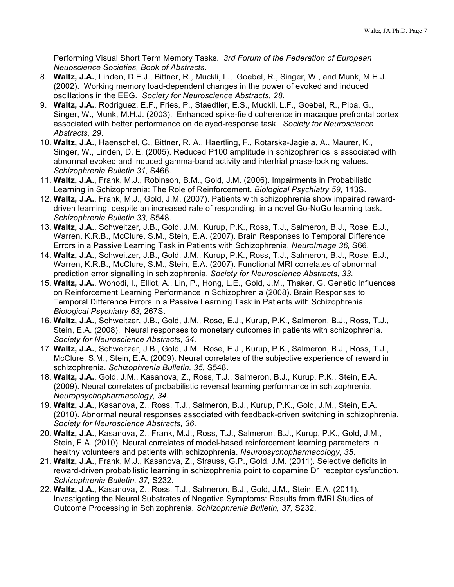Performing Visual Short Term Memory Tasks. *3rd Forum of the Federation of European Neuoscience Societies, Book of Abstracts*.

- 8. **Waltz, J.A.**, Linden, D.E.J., Bittner, R., Muckli, L., Goebel, R., Singer, W., and Munk, M.H.J. (2002). Working memory load-dependent changes in the power of evoked and induced oscillations in the EEG. *Society for Neuroscience Abstracts, 28*.
- 9. **Waltz, J.A.**, Rodriguez, E.F., Fries, P., Staedtler, E.S., Muckli, L.F., Goebel, R., Pipa, G., Singer, W., Munk, M.H.J. (2003). Enhanced spike-field coherence in macaque prefrontal cortex associated with better performance on delayed-response task. *Society for Neuroscience Abstracts, 29*.
- 10. **Waltz, J.A.**, Haenschel, C., Bittner, R. A., Haertling, F., Rotarska-Jagiela, A., Maurer, K., Singer, W., Linden, D. E. (2005). Reduced P100 amplitude in schizophrenics is associated with abnormal evoked and induced gamma-band activity and intertrial phase-locking values. *Schizophrenia Bulletin 31,* S466.
- 11. **Waltz, J.A.**, Frank, M.J., Robinson, B.M., Gold, J.M. (2006). Impairments in Probabilistic Learning in Schizophrenia: The Role of Reinforcement. *Biological Psychiatry 59,* 113S.
- 12. **Waltz, J.A.**, Frank, M.J., Gold, J.M. (2007). Patients with schizophrenia show impaired rewarddriven learning, despite an increased rate of responding, in a novel Go-NoGo learning task. *Schizophrenia Bulletin 33,* S548.
- 13. **Waltz, J.A.**, Schweitzer, J.B., Gold, J.M., Kurup, P.K., Ross, T.J., Salmeron, B.J., Rose, E.J., Warren, K.R.B., McClure, S.M., Stein, E.A. (2007). Brain Responses to Temporal Difference Errors in a Passive Learning Task in Patients with Schizophrenia. *NeuroImage 36,* S66.
- 14. **Waltz, J.A.**, Schweitzer, J.B., Gold, J.M., Kurup, P.K., Ross, T.J., Salmeron, B.J., Rose, E.J., Warren, K.R.B., McClure, S.M., Stein, E.A. (2007). Functional MRI correlates of abnormal prediction error signalling in schizophrenia. *Society for Neuroscience Abstracts, 33*.
- 15. **Waltz, J.A.**, Wonodi, I., Elliot, A., Lin, P., Hong, L.E., Gold, J.M., Thaker, G. Genetic Influences on Reinforcement Learning Performance in Schizophrenia (2008). Brain Responses to Temporal Difference Errors in a Passive Learning Task in Patients with Schizophrenia. *Biological Psychiatry 63,* 267S.
- 16. **Waltz, J.A.**, Schweitzer, J.B., Gold, J.M., Rose, E.J., Kurup, P.K., Salmeron, B.J., Ross, T.J., Stein, E.A. (2008). Neural responses to monetary outcomes in patients with schizophrenia. *Society for Neuroscience Abstracts, 34*.
- 17. **Waltz, J.A.**, Schweitzer, J.B., Gold, J.M., Rose, E.J., Kurup, P.K., Salmeron, B.J., Ross, T.J., McClure, S.M., Stein, E.A. (2009). Neural correlates of the subjective experience of reward in schizophrenia. *Schizophrenia Bulletin, 35,* S548.
- 18. **Waltz, J.A.**, Gold, J.M., Kasanova, Z., Ross, T.J., Salmeron, B.J., Kurup, P.K., Stein, E.A. (2009). Neural correlates of probabilistic reversal learning performance in schizophrenia. *Neuropsychopharmacology, 34*.
- 19. **Waltz, J.A.**, Kasanova, Z., Ross, T.J., Salmeron, B.J., Kurup, P.K., Gold, J.M., Stein, E.A. (2010). Abnormal neural responses associated with feedback-driven switching in schizophrenia. *Society for Neuroscience Abstracts, 36*.
- 20. **Waltz, J.A.**, Kasanova, Z., Frank, M.J., Ross, T.J., Salmeron, B.J., Kurup, P.K., Gold, J.M., Stein, E.A. (2010). Neural correlates of model-based reinforcement learning parameters in healthy volunteers and patients with schizophrenia. *Neuropsychopharmacology, 35*.
- 21. **Waltz, J.A.**, Frank, M.J., Kasanova, Z., Strauss, G.P., Gold, J.M. (2011). Selective deficits in reward-driven probabilistic learning in schizophrenia point to dopamine D1 receptor dysfunction. *Schizophrenia Bulletin, 37,* S232.
- 22. **Waltz, J.A.**, Kasanova, Z., Ross, T.J., Salmeron, B.J., Gold, J.M., Stein, E.A. (2011). Investigating the Neural Substrates of Negative Symptoms: Results from fMRI Studies of Outcome Processing in Schizophrenia. *Schizophrenia Bulletin, 37,* S232.